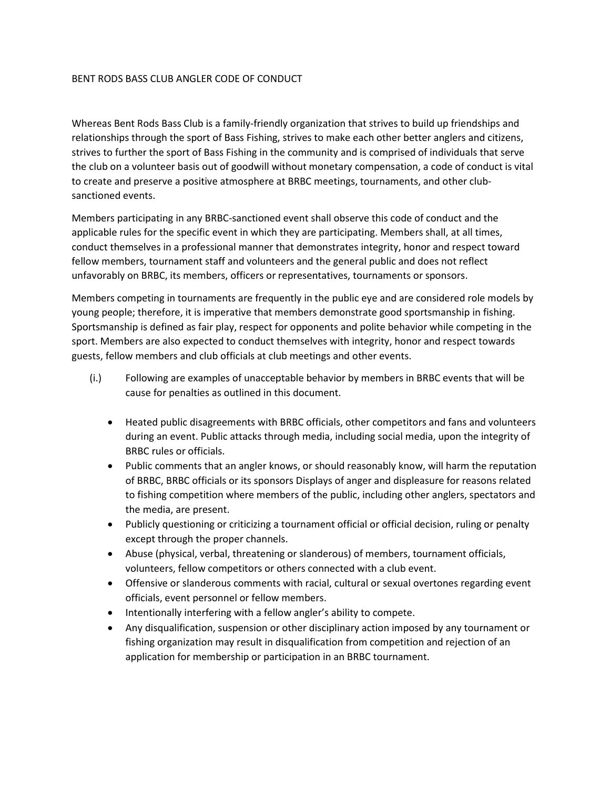## BENT RODS BASS CLUB ANGLER CODE OF CONDUCT

Whereas Bent Rods Bass Club is a family-friendly organization that strives to build up friendships and relationships through the sport of Bass Fishing, strives to make each other better anglers and citizens, strives to further the sport of Bass Fishing in the community and is comprised of individuals that serve the club on a volunteer basis out of goodwill without monetary compensation, a code of conduct is vital to create and preserve a positive atmosphere at BRBC meetings, tournaments, and other clubsanctioned events.

Members participating in any BRBC-sanctioned event shall observe this code of conduct and the applicable rules for the specific event in which they are participating. Members shall, at all times, conduct themselves in a professional manner that demonstrates integrity, honor and respect toward fellow members, tournament staff and volunteers and the general public and does not reflect unfavorably on BRBC, its members, officers or representatives, tournaments or sponsors.

Members competing in tournaments are frequently in the public eye and are considered role models by young people; therefore, it is imperative that members demonstrate good sportsmanship in fishing. Sportsmanship is defined as fair play, respect for opponents and polite behavior while competing in the sport. Members are also expected to conduct themselves with integrity, honor and respect towards guests, fellow members and club officials at club meetings and other events.

- (i.) Following are examples of unacceptable behavior by members in BRBC events that will be cause for penalties as outlined in this document.
	- Heated public disagreements with BRBC officials, other competitors and fans and volunteers during an event. Public attacks through media, including social media, upon the integrity of BRBC rules or officials.
	- Public comments that an angler knows, or should reasonably know, will harm the reputation of BRBC, BRBC officials or its sponsors Displays of anger and displeasure for reasons related to fishing competition where members of the public, including other anglers, spectators and the media, are present.
	- Publicly questioning or criticizing a tournament official or official decision, ruling or penalty except through the proper channels.
	- Abuse (physical, verbal, threatening or slanderous) of members, tournament officials, volunteers, fellow competitors or others connected with a club event.
	- Offensive or slanderous comments with racial, cultural or sexual overtones regarding event officials, event personnel or fellow members.
	- Intentionally interfering with a fellow angler's ability to compete.
	- Any disqualification, suspension or other disciplinary action imposed by any tournament or fishing organization may result in disqualification from competition and rejection of an application for membership or participation in an BRBC tournament.